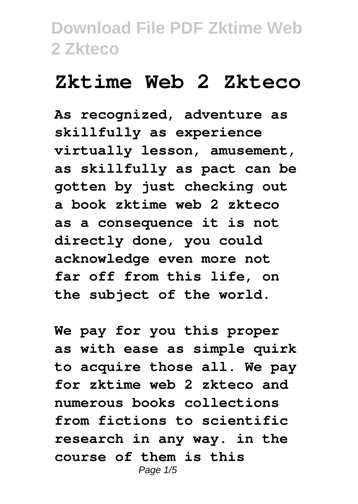## **Zktime Web 2 Zkteco**

**As recognized, adventure as skillfully as experience virtually lesson, amusement, as skillfully as pact can be gotten by just checking out a book zktime web 2 zkteco as a consequence it is not directly done, you could acknowledge even more not far off from this life, on the subject of the world.**

**We pay for you this proper as with ease as simple quirk to acquire those all. We pay for zktime web 2 zkteco and numerous books collections from fictions to scientific research in any way. in the course of them is this** Page  $1/5$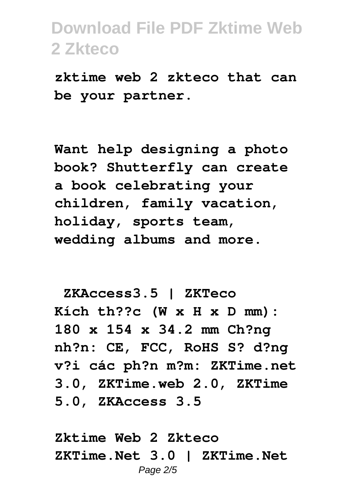**zktime web 2 zkteco that can be your partner.**

**Want help designing a photo book? Shutterfly can create a book celebrating your children, family vacation, holiday, sports team, wedding albums and more.**

**ZKAccess3.5 | ZKTeco Kích th??c (W x H x D mm): 180 x 154 x 34.2 mm Ch?ng nh?n: CE, FCC, RoHS S? d?ng v?i các ph?n m?m: ZKTime.net 3.0, ZKTime.web 2.0, ZKTime 5.0, ZKAccess 3.5**

**Zktime Web 2 Zkteco ZKTime.Net 3.0 | ZKTime.Net** Page 2/5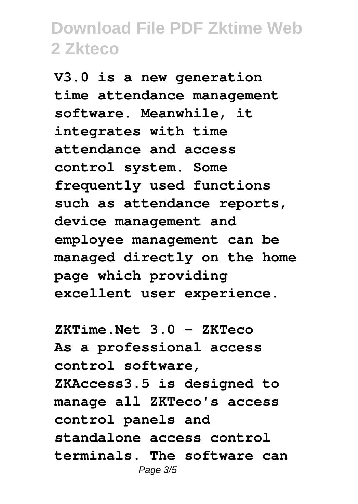**V3.0 is a new generation time attendance management software. Meanwhile, it integrates with time attendance and access control system. Some frequently used functions such as attendance reports, device management and employee management can be managed directly on the home page which providing excellent user experience.**

**ZKTime.Net 3.0 - ZKTeco As a professional access control software, ZKAccess3.5 is designed to manage all ZKTeco's access control panels and standalone access control terminals. The software can** Page 3/5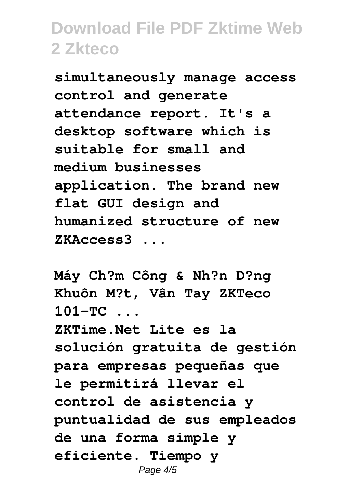**simultaneously manage access control and generate attendance report. It's a desktop software which is suitable for small and medium businesses application. The brand new flat GUI design and humanized structure of new ZKAccess3 ...**

**Máy Ch?m Công & Nh?n D?ng Khuôn M?t, Vân Tay ZKTeco 101-TC ... ZKTime.Net Lite es la solución gratuita de gestión para empresas pequeñas que le permitirá llevar el control de asistencia y puntualidad de sus empleados de una forma simple y eficiente. Tiempo y** Page  $4/5$